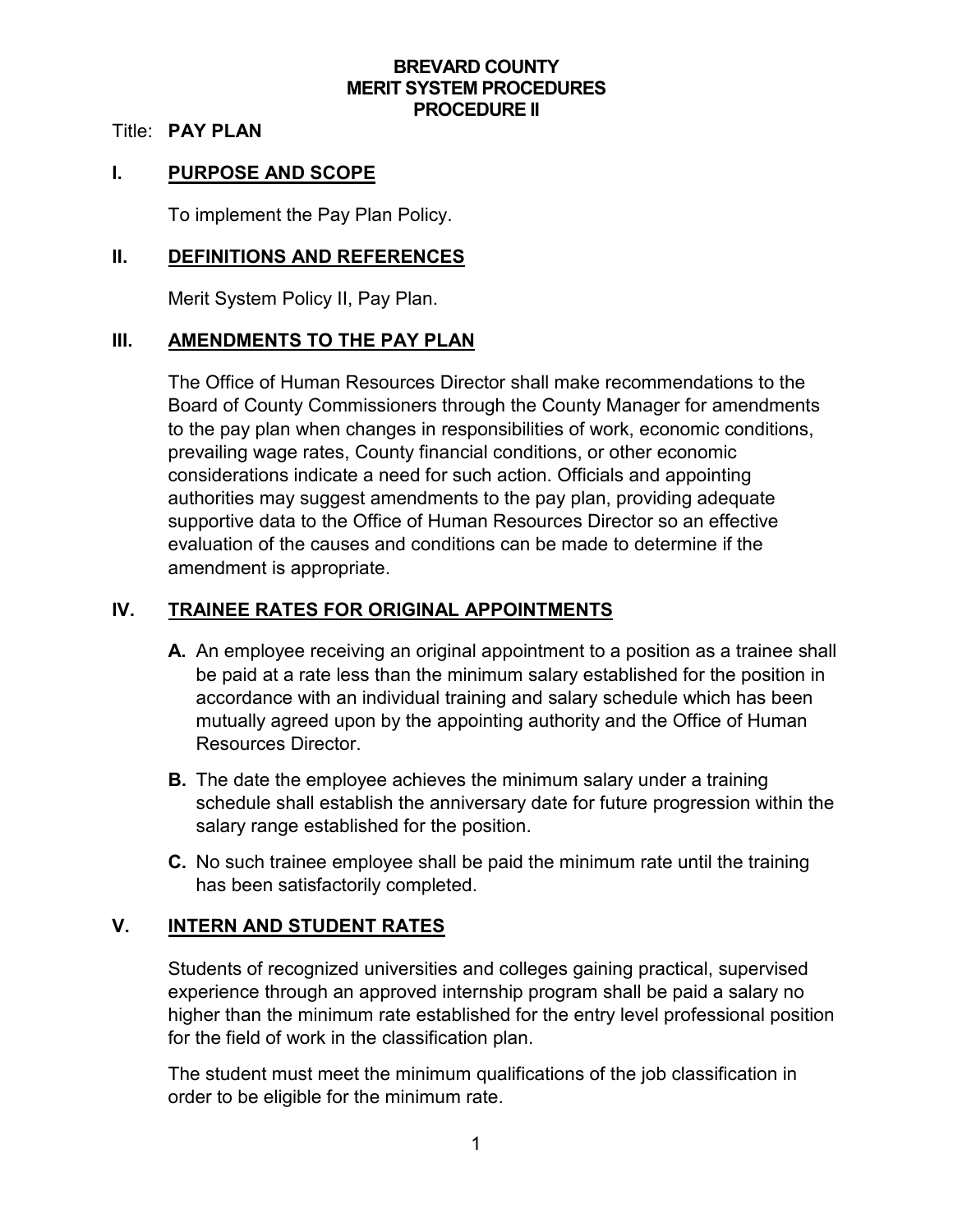#### **BREVARD COUNTY MERIT SYSTEM PROCEDURES PROCEDURE II**

#### Title: **PAY PLAN**

#### **I. PURPOSE AND SCOPE**

To implement the Pay Plan Policy.

#### **II. DEFINITIONS AND REFERENCES**

Merit System Policy II, Pay Plan.

#### **III. AMENDMENTS TO THE PAY PLAN**

The Office of Human Resources Director shall make recommendations to the Board of County Commissioners through the County Manager for amendments to the pay plan when changes in responsibilities of work, economic conditions, prevailing wage rates, County financial conditions, or other economic considerations indicate a need for such action. Officials and appointing authorities may suggest amendments to the pay plan, providing adequate supportive data to the Office of Human Resources Director so an effective evaluation of the causes and conditions can be made to determine if the amendment is appropriate.

## **IV. TRAINEE RATES FOR ORIGINAL APPOINTMENTS**

- **A.** An employee receiving an original appointment to a position as a trainee shall be paid at a rate less than the minimum salary established for the position in accordance with an individual training and salary schedule which has been mutually agreed upon by the appointing authority and the Office of Human Resources Director.
- **B.** The date the employee achieves the minimum salary under a training schedule shall establish the anniversary date for future progression within the salary range established for the position.
- **C.** No such trainee employee shall be paid the minimum rate until the training has been satisfactorily completed.

### **V. INTERN AND STUDENT RATES**

Students of recognized universities and colleges gaining practical, supervised experience through an approved internship program shall be paid a salary no higher than the minimum rate established for the entry level professional position for the field of work in the classification plan.

The student must meet the minimum qualifications of the job classification in order to be eligible for the minimum rate.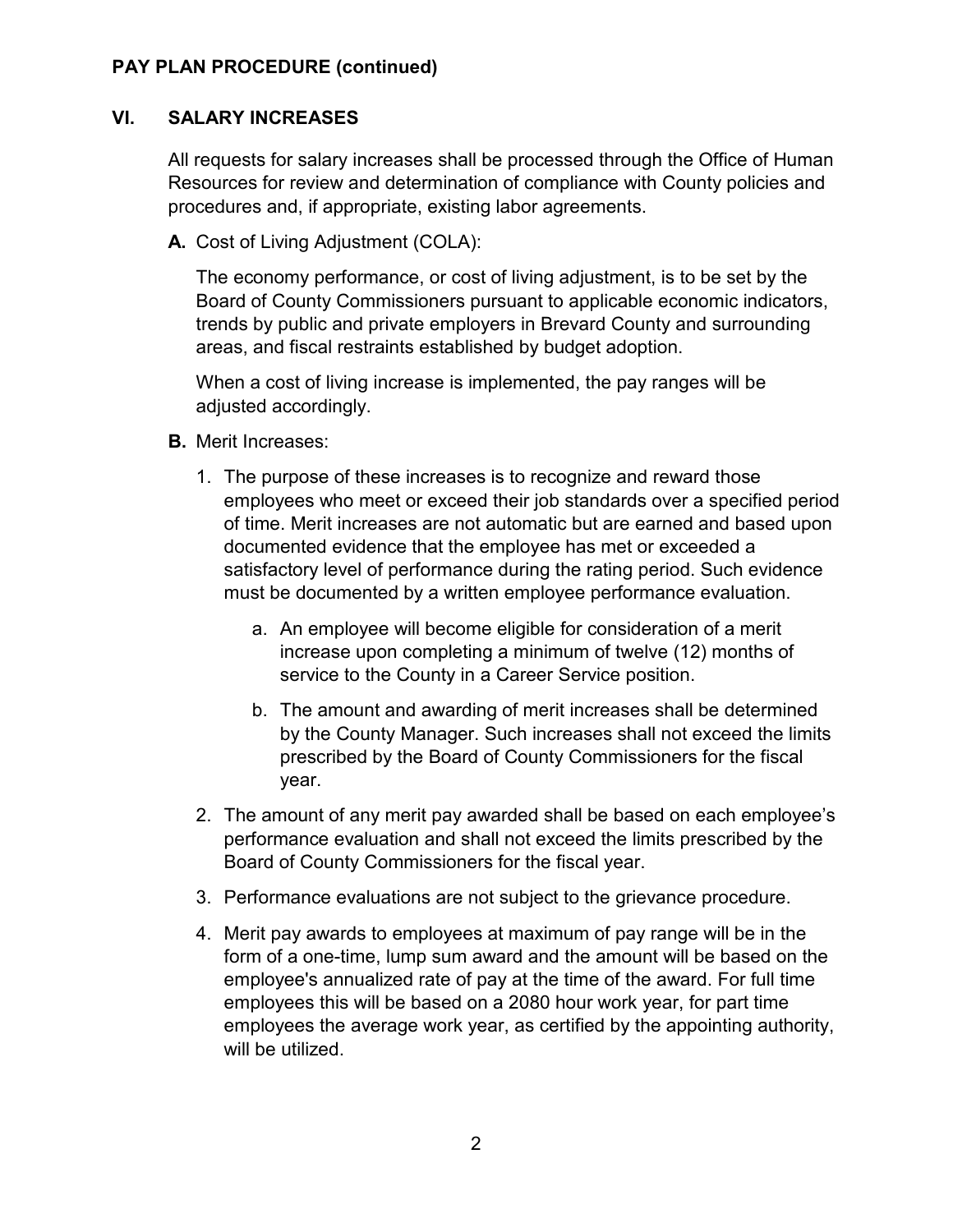### **VI. SALARY INCREASES**

All requests for salary increases shall be processed through the Office of Human Resources for review and determination of compliance with County policies and procedures and, if appropriate, existing labor agreements.

**A.** Cost of Living Adjustment (COLA):

The economy performance, or cost of living adjustment, is to be set by the Board of County Commissioners pursuant to applicable economic indicators, trends by public and private employers in Brevard County and surrounding areas, and fiscal restraints established by budget adoption.

When a cost of living increase is implemented, the pay ranges will be adjusted accordingly.

- **B.** Merit Increases:
	- 1. The purpose of these increases is to recognize and reward those employees who meet or exceed their job standards over a specified period of time. Merit increases are not automatic but are earned and based upon documented evidence that the employee has met or exceeded a satisfactory level of performance during the rating period. Such evidence must be documented by a written employee performance evaluation.
		- a. An employee will become eligible for consideration of a merit increase upon completing a minimum of twelve (12) months of service to the County in a Career Service position.
		- b. The amount and awarding of merit increases shall be determined by the County Manager. Such increases shall not exceed the limits prescribed by the Board of County Commissioners for the fiscal year.
	- 2. The amount of any merit pay awarded shall be based on each employee's performance evaluation and shall not exceed the limits prescribed by the Board of County Commissioners for the fiscal year.
	- 3. Performance evaluations are not subject to the grievance procedure.
	- 4. Merit pay awards to employees at maximum of pay range will be in the form of a one-time, lump sum award and the amount will be based on the employee's annualized rate of pay at the time of the award. For full time employees this will be based on a 2080 hour work year, for part time employees the average work year, as certified by the appointing authority, will be utilized.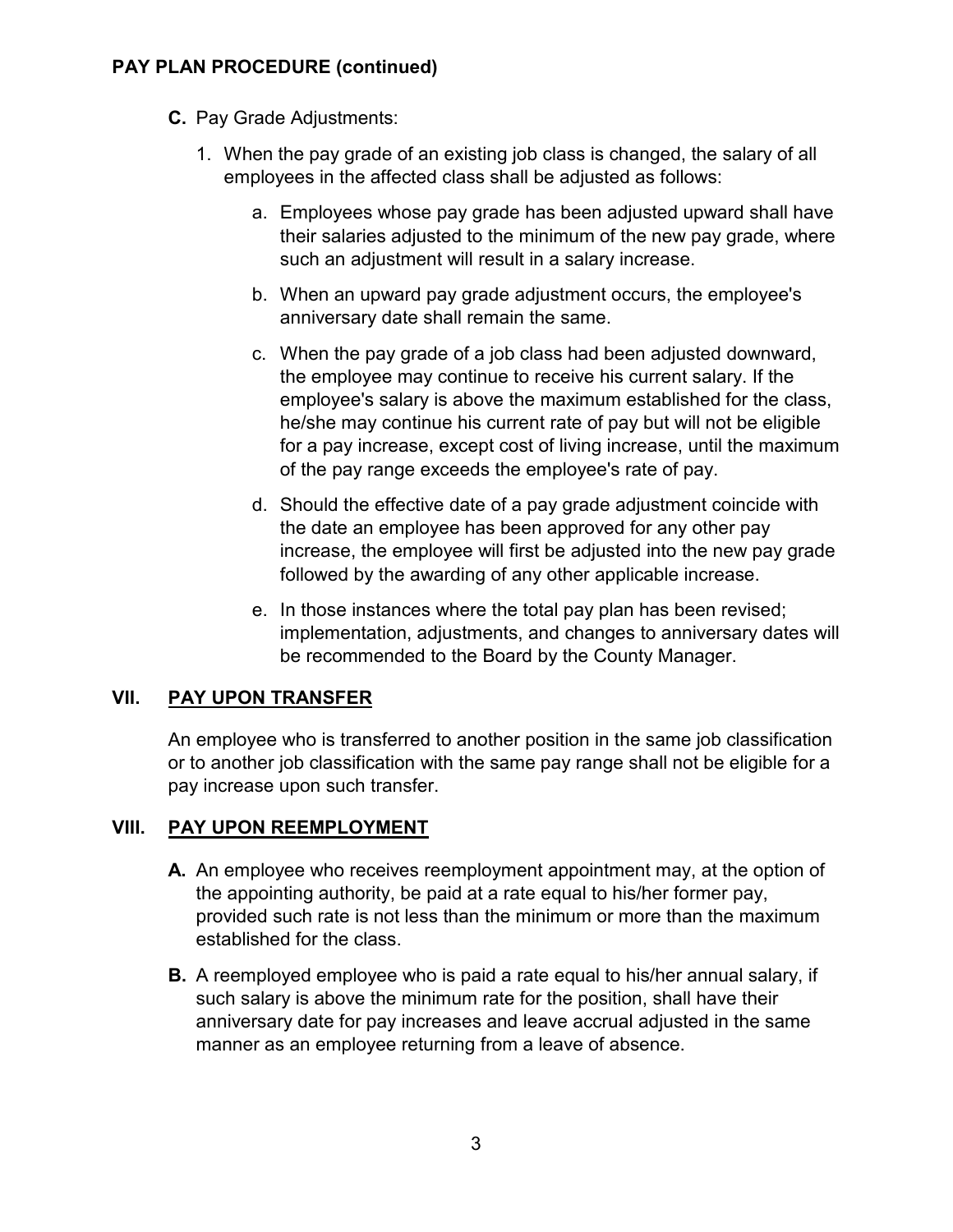- **C.** Pay Grade Adjustments:
	- 1. When the pay grade of an existing job class is changed, the salary of all employees in the affected class shall be adjusted as follows:
		- a. Employees whose pay grade has been adjusted upward shall have their salaries adjusted to the minimum of the new pay grade, where such an adjustment will result in a salary increase.
		- b. When an upward pay grade adjustment occurs, the employee's anniversary date shall remain the same.
		- c. When the pay grade of a job class had been adjusted downward, the employee may continue to receive his current salary. If the employee's salary is above the maximum established for the class, he/she may continue his current rate of pay but will not be eligible for a pay increase, except cost of living increase, until the maximum of the pay range exceeds the employee's rate of pay.
		- d. Should the effective date of a pay grade adjustment coincide with the date an employee has been approved for any other pay increase, the employee will first be adjusted into the new pay grade followed by the awarding of any other applicable increase.
		- e. In those instances where the total pay plan has been revised; implementation, adjustments, and changes to anniversary dates will be recommended to the Board by the County Manager.

### **VII. PAY UPON TRANSFER**

An employee who is transferred to another position in the same job classification or to another job classification with the same pay range shall not be eligible for a pay increase upon such transfer.

# **VIII. PAY UPON REEMPLOYMENT**

- **A.** An employee who receives reemployment appointment may, at the option of the appointing authority, be paid at a rate equal to his/her former pay, provided such rate is not less than the minimum or more than the maximum established for the class.
- **B.** A reemployed employee who is paid a rate equal to his/her annual salary, if such salary is above the minimum rate for the position, shall have their anniversary date for pay increases and leave accrual adjusted in the same manner as an employee returning from a leave of absence.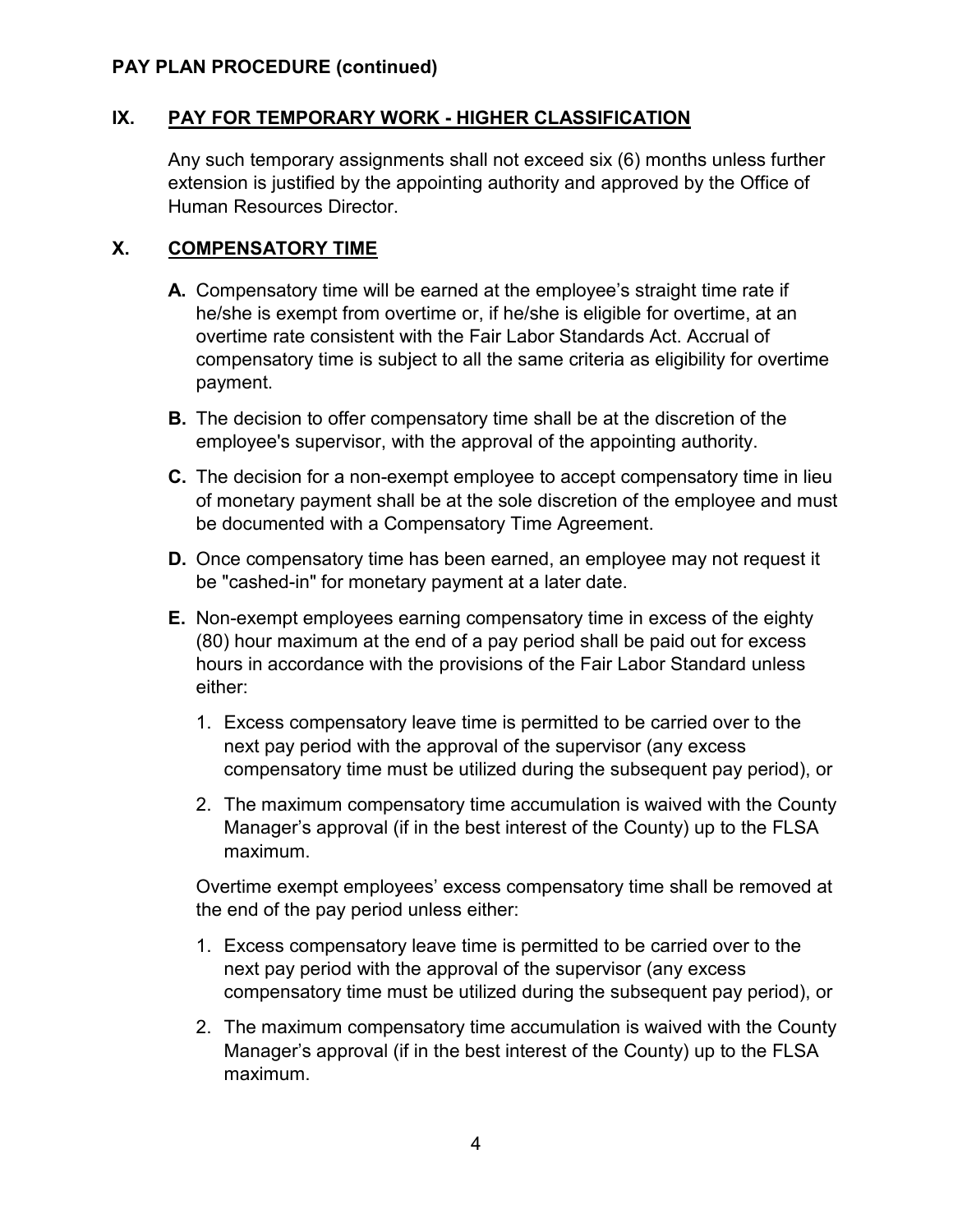### **IX. PAY FOR TEMPORARY WORK - HIGHER CLASSIFICATION**

Any such temporary assignments shall not exceed six (6) months unless further extension is justified by the appointing authority and approved by the Office of Human Resources Director.

#### **X. COMPENSATORY TIME**

- **A.** Compensatory time will be earned at the employee's straight time rate if he/she is exempt from overtime or, if he/she is eligible for overtime, at an overtime rate consistent with the Fair Labor Standards Act. Accrual of compensatory time is subject to all the same criteria as eligibility for overtime payment.
- **B.** The decision to offer compensatory time shall be at the discretion of the employee's supervisor, with the approval of the appointing authority.
- **C.** The decision for a non-exempt employee to accept compensatory time in lieu of monetary payment shall be at the sole discretion of the employee and must be documented with a Compensatory Time Agreement.
- **D.** Once compensatory time has been earned, an employee may not request it be "cashed-in" for monetary payment at a later date.
- **E.** Non-exempt employees earning compensatory time in excess of the eighty (80) hour maximum at the end of a pay period shall be paid out for excess hours in accordance with the provisions of the Fair Labor Standard unless either:
	- 1. Excess compensatory leave time is permitted to be carried over to the next pay period with the approval of the supervisor (any excess compensatory time must be utilized during the subsequent pay period), or
	- 2. The maximum compensatory time accumulation is waived with the County Manager's approval (if in the best interest of the County) up to the FLSA maximum.

Overtime exempt employees' excess compensatory time shall be removed at the end of the pay period unless either:

- 1. Excess compensatory leave time is permitted to be carried over to the next pay period with the approval of the supervisor (any excess compensatory time must be utilized during the subsequent pay period), or
- 2. The maximum compensatory time accumulation is waived with the County Manager's approval (if in the best interest of the County) up to the FLSA maximum.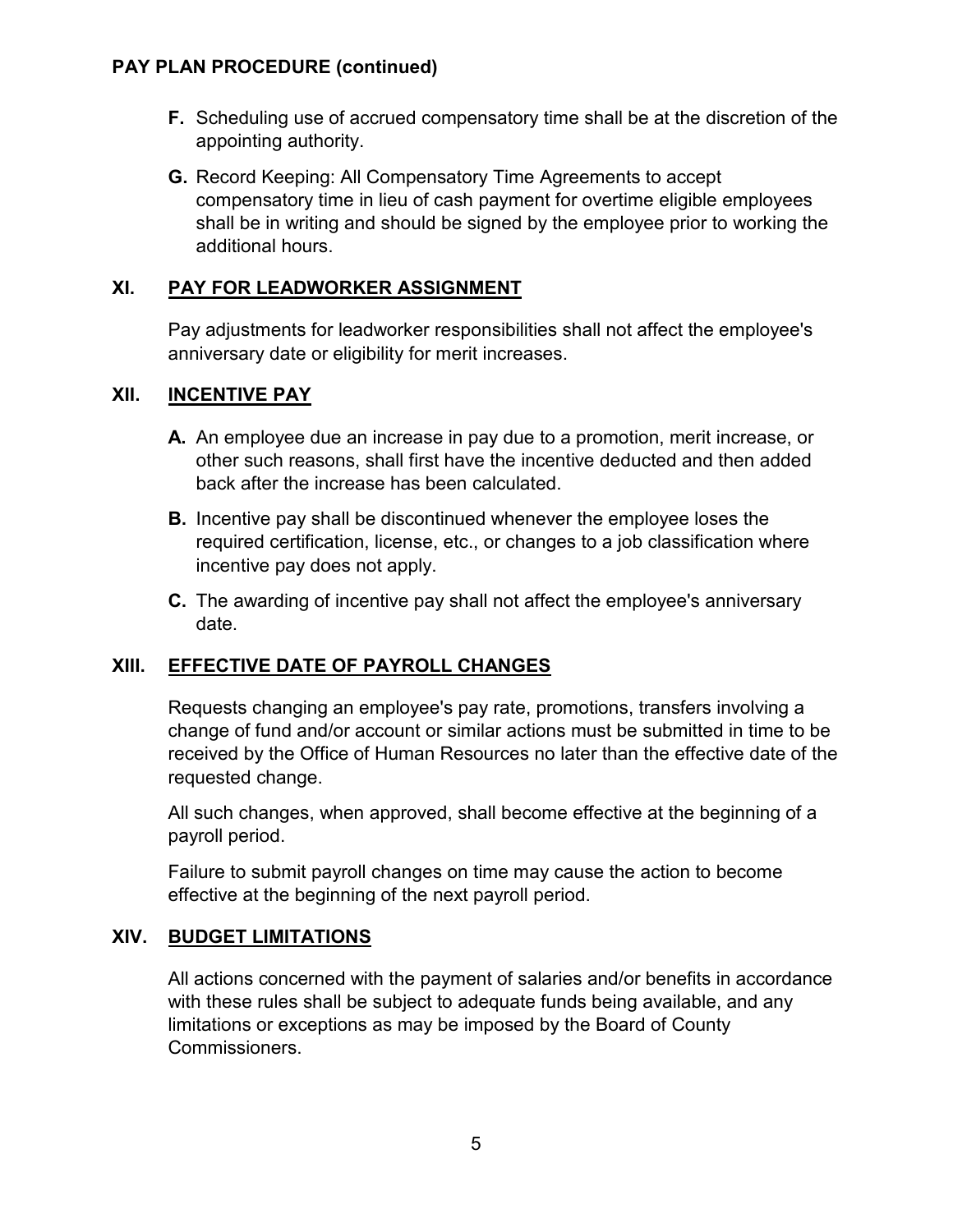- **F.** Scheduling use of accrued compensatory time shall be at the discretion of the appointing authority.
- **G.** Record Keeping: All Compensatory Time Agreements to accept compensatory time in lieu of cash payment for overtime eligible employees shall be in writing and should be signed by the employee prior to working the additional hours.

### **XI. PAY FOR LEADWORKER ASSIGNMENT**

Pay adjustments for leadworker responsibilities shall not affect the employee's anniversary date or eligibility for merit increases.

### **XII. INCENTIVE PAY**

- **A.** An employee due an increase in pay due to a promotion, merit increase, or other such reasons, shall first have the incentive deducted and then added back after the increase has been calculated.
- **B.** Incentive pay shall be discontinued whenever the employee loses the required certification, license, etc., or changes to a job classification where incentive pay does not apply.
- **C.** The awarding of incentive pay shall not affect the employee's anniversary date.

### **XIII. EFFECTIVE DATE OF PAYROLL CHANGES**

Requests changing an employee's pay rate, promotions, transfers involving a change of fund and/or account or similar actions must be submitted in time to be received by the Office of Human Resources no later than the effective date of the requested change.

All such changes, when approved, shall become effective at the beginning of a payroll period.

Failure to submit payroll changes on time may cause the action to become effective at the beginning of the next payroll period.

### **XIV. BUDGET LIMITATIONS**

All actions concerned with the payment of salaries and/or benefits in accordance with these rules shall be subject to adequate funds being available, and any limitations or exceptions as may be imposed by the Board of County Commissioners.